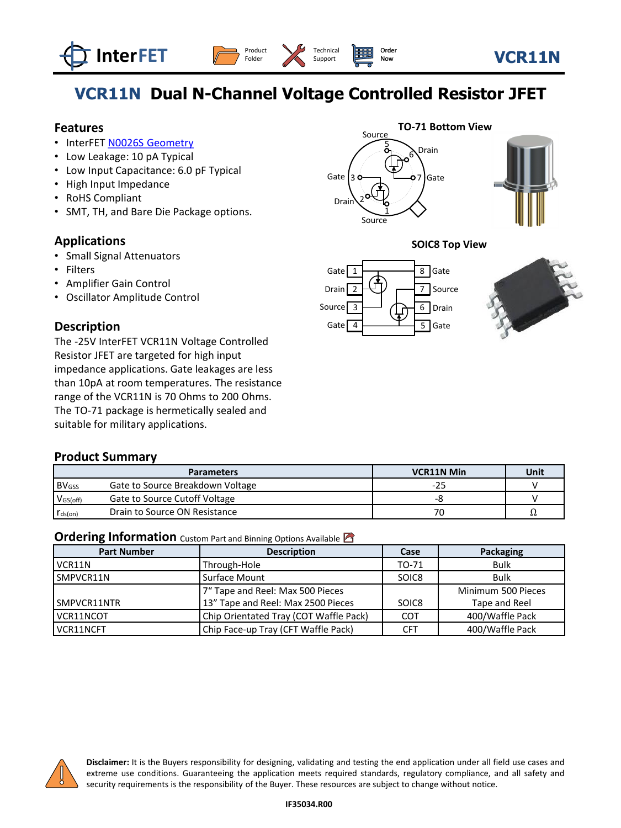





# **VCR11N Dual N-Channel Voltage Controlled Resistor JFET**

[Technical](https://www.interfet.com/support-overview) Support

#### **Features**

- InterFET [N0026S Geometry](https://www.interfet.com/geometry-types/)
- Low Leakage: 10 pA Typical
- Low Input Capacitance: 6.0 pF Typical
- High Input Impedance
- RoHS Compliant
- SMT, TH, and Bare Die Package options.

#### **Applications**

- Small Signal Attenuators
- Filters
- Amplifier Gain Control
- Oscillator Amplitude Control

#### **Description**

The -25V InterFET VCR11N Voltage Controlled Resistor JFET are targeted for high input impedance applications. Gate leakages are less than 10pA at room temperatures. The resistance range of the VCR11N is 70 Ohms to 200 Ohms. The TO-71 package is hermetically sealed and suitable for military applications.

#### **Product Summary**

|                         | <b>Parameters</b>                | <b>VCR11N Min</b> | Unit |
|-------------------------|----------------------------------|-------------------|------|
| <b>BV<sub>GSS</sub></b> | Gate to Source Breakdown Voltage | $-25$             |      |
| $V$ <sub>GS(off)</sub>  | Gate to Source Cutoff Voltage    | -8                |      |
| $r_{ds(on)}$            | Drain to Source ON Resistance    | 70                | 77   |

#### **Ordering Information** Custom Part and Binning Options Available

| <b>Part Number</b> | <b>Description</b>                     | Case              | Packaging          |
|--------------------|----------------------------------------|-------------------|--------------------|
| VCR11N             | Through-Hole                           | TO-71             | Bulk               |
| SMPVCR11N          | Surface Mount                          | SOIC <sub>8</sub> | <b>Bulk</b>        |
|                    | 7" Tape and Reel: Max 500 Pieces       |                   | Minimum 500 Pieces |
| SMPVCR11NTR        | 13" Tape and Reel: Max 2500 Pieces     | SOIC8             | Tape and Reel      |
| VCR11NCOT          | Chip Orientated Tray (COT Waffle Pack) | COT               | 400/Waffle Pack    |
| VCR11NCFT          | Chip Face-up Tray (CFT Waffle Pack)    | <b>CFT</b>        | 400/Waffle Pack    |



**Disclaimer:** It is the Buyers responsibility for designing, validating and testing the end application under all field use cases and extreme use conditions. Guaranteeing the application meets required standards, regulatory compliance, and all safety and security requirements is the responsibility of the Buyer. These resources are subject to change without notice.







[Order](https://www.interfet.com/ordering-overview) Now

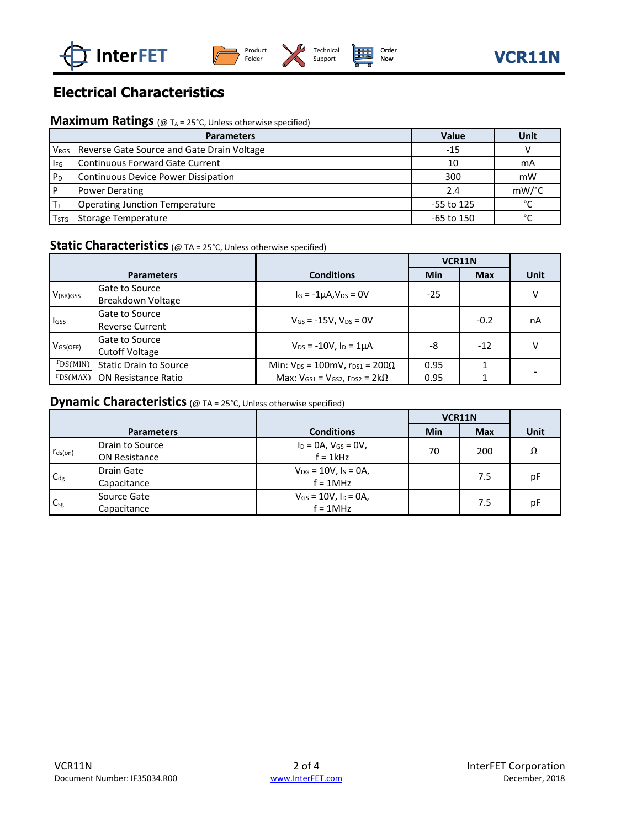





# **Electrical Characteristics**

#### **Maximum Ratings** (@ T<sub>A</sub> = 25°C, Unless otherwise specified)

|                | <b>Parameters</b>                                           | Value      | <b>Unit</b>   |
|----------------|-------------------------------------------------------------|------------|---------------|
|                | V <sub>RGS</sub> Reverse Gate Source and Gate Drain Voltage | -15        |               |
| $I_{FG}$       | <b>Continuous Forward Gate Current</b>                      | 10         | mA            |
| P <sub>D</sub> | <b>Continuous Device Power Dissipation</b>                  | 300        | mW            |
|                | <b>Power Derating</b>                                       | 2.4        | mW/°C         |
|                | <b>Operating Junction Temperature</b>                       | -55 to 125 | $\mathcal{C}$ |
| I STG          | Storage Temperature                                         | -65 to 150 | $\sim$        |

### **Static Characteristics** (@ TA = 25°C, Unless otherwise specified)

|                        |                                          |                                                 | VCR11N |            |      |
|------------------------|------------------------------------------|-------------------------------------------------|--------|------------|------|
|                        | <b>Parameters</b>                        | <b>Conditions</b>                               | Min    | <b>Max</b> | Unit |
| $V_{(BR)GSS}$          | Gate to Source<br>Breakdown Voltage      | $I_G = -1\mu A$ , $V_{DS} = 0V$                 | $-25$  |            |      |
| lgss                   | Gate to Source<br><b>Reverse Current</b> | $V_{GS}$ = -15V, $V_{DS}$ = 0V                  |        | $-0.2$     | nA   |
| $V$ <sub>GS(OFF)</sub> | Gate to Source<br><b>Cutoff Voltage</b>  | $V_{DS}$ = -10V, $I_D$ = 1µA                    | -8     | $-12$      |      |
| $r_{DS(MIN)}$          | <b>Static Drain to Source</b>            | Min: $V_{DS} = 100$ mV, $r_{DS1} = 200 \Omega$  | 0.95   |            |      |
| rDS(MAX)               | <b>ON Resistance Ratio</b>               | Max: $V_{GS1} = V_{GS2}$ , $r_{DS2} = 2k\Omega$ | 0.95   |            |      |

#### **Dynamic Characteristics** (@ TA = 25°C, Unless otherwise specified)

|                 |                      |                               | VCR11N |            |      |
|-----------------|----------------------|-------------------------------|--------|------------|------|
|                 | <b>Parameters</b>    | <b>Conditions</b>             | Min    | <b>Max</b> | Unit |
| $r_{ds(on)}$    | Drain to Source      | $I_D = 0A$ , $V_{GS} = 0V$ ,  | 70     | 200        | Ω    |
|                 | <b>ON Resistance</b> | $f = 1$ kHz                   |        |            |      |
| C <sub>dg</sub> | Drain Gate           | $V_{DG} = 10V$ , $I_S = 0A$ , |        | 7.5        | рF   |
|                 | Capacitance          | $f = 1MHz$                    |        |            |      |
| $C_{sg}$        | Source Gate          | $V_{GS} = 10V$ , $I_D = 0A$ , |        | 7.5        | рF   |
|                 | Capacitance          | $f = 1MHz$                    |        |            |      |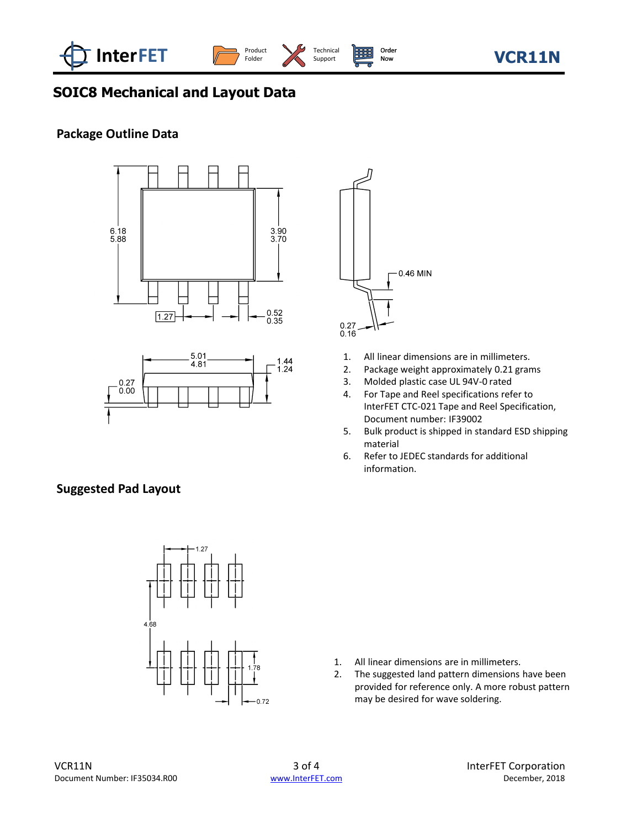

Support

# **SOIC8 Mechanical and Layout Data**

#### **Package Outline Data**







- 1. All linear dimensions are in millimeters.<br>2. Package weight approximately 0.21 grar
- Package weight approximately 0.21 grams
- 3. Molded plastic case UL 94V-0 rated
- 4. For Tape and Reel specifications refer to InterFET CTC-021 Tape and Reel Specification, Document number: IF39002
- 5. Bulk product is shipped in standard ESD shipping material
- 6. Refer to JEDEC standards for additional information.

#### **Suggested Pad Layout**



- 1. All linear dimensions are in millimeters.
- 2. The suggested land pattern dimensions have been provided for reference only. A more robust pattern may be desired for wave soldering.